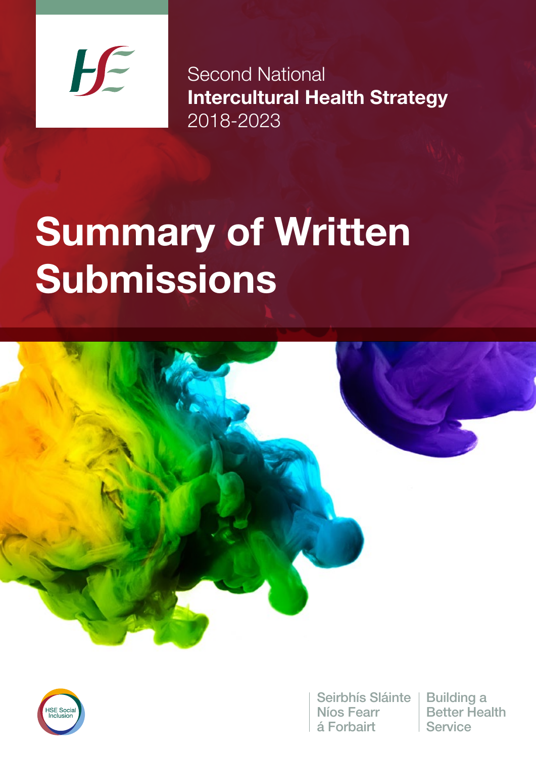

Second National Intercultural Health Strategy 2018-2023

# Summary of Written **Submissions**





Seirbhís Sláinte | Building a Níos Fearr á Forbairt

Better Health Service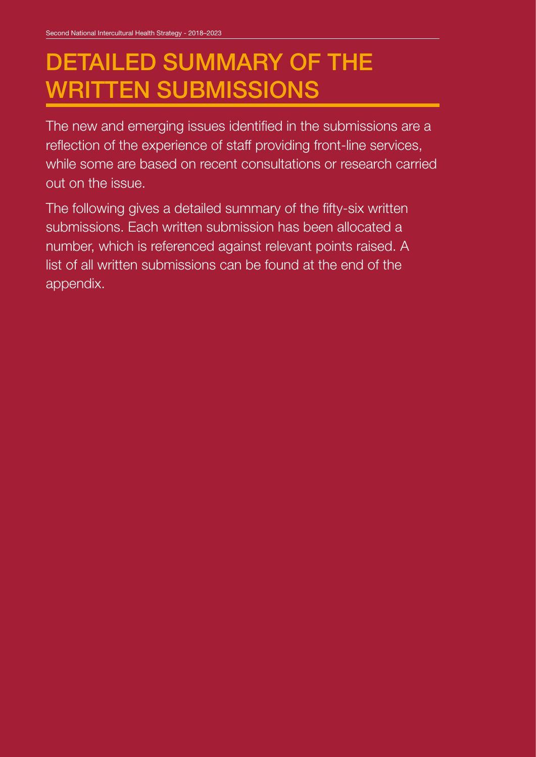# DETAILED SUMMARY OF THE WRITTEN SUBMISSIONS

The new and emerging issues identified in the submissions are a reflection of the experience of staff providing front-line services, while some are based on recent consultations or research carried out on the issue.

The following gives a detailed summary of the fifty-six written submissions. Each written submission has been allocated a number, which is referenced against relevant points raised. A list of all written submissions can be found at the end of the appendix.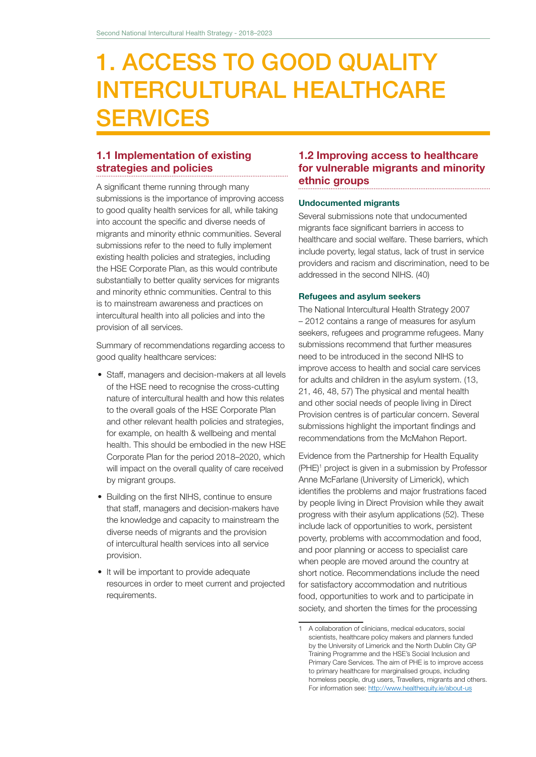# 1. ACCESS TO GOOD QUALITY INTERCULTURAL HEALTHCARE **SERVICES**

# 1.1 Implementation of existing strategies and policies

A significant theme running through many submissions is the importance of improving access to good quality health services for all, while taking into account the specific and diverse needs of migrants and minority ethnic communities. Several submissions refer to the need to fully implement existing health policies and strategies, including the HSE Corporate Plan, as this would contribute substantially to better quality services for migrants and minority ethnic communities. Central to this is to mainstream awareness and practices on intercultural health into all policies and into the provision of all services.

Summary of recommendations regarding access to good quality healthcare services:

- Staff, managers and decision-makers at all levels of the HSE need to recognise the cross-cutting nature of intercultural health and how this relates to the overall goals of the HSE Corporate Plan and other relevant health policies and strategies, for example, on health & wellbeing and mental health. This should be embodied in the new HSE Corporate Plan for the period 2018–2020, which will impact on the overall quality of care received by migrant groups.
- Building on the first NIHS, continue to ensure that staff, managers and decision-makers have the knowledge and capacity to mainstream the diverse needs of migrants and the provision of intercultural health services into all service provision.
- It will be important to provide adequate resources in order to meet current and projected requirements.

### 1.2 Improving access to healthcare for vulnerable migrants and minority ethnic groups

#### Undocumented migrants

Several submissions note that undocumented migrants face significant barriers in access to healthcare and social welfare. These barriers, which include poverty, legal status, lack of trust in service providers and racism and discrimination, need to be addressed in the second NIHS. (40)

#### Refugees and asylum seekers

The National Intercultural Health Strategy 2007 – 2012 contains a range of measures for asylum seekers, refugees and programme refugees. Many submissions recommend that further measures need to be introduced in the second NIHS to improve access to health and social care services for adults and children in the asylum system. (13, 21, 46, 48, 57) The physical and mental health and other social needs of people living in Direct Provision centres is of particular concern. Several submissions highlight the important findings and recommendations from the McMahon Report.

Evidence from the Partnership for Health Equality (PHE)1 project is given in a submission by Professor Anne McFarlane (University of Limerick), which identifies the problems and major frustrations faced by people living in Direct Provision while they await progress with their asylum applications (52). These include lack of opportunities to work, persistent poverty, problems with accommodation and food, and poor planning or access to specialist care when people are moved around the country at short notice. Recommendations include the need for satisfactory accommodation and nutritious food, opportunities to work and to participate in society, and shorten the times for the processing

<sup>1</sup> A collaboration of clinicians, medical educators, social scientists, healthcare policy makers and planners funded by the University of Limerick and the North Dublin City GP Training Programme and the HSE's Social Inclusion and Primary Care Services. The aim of PHE is to improve access to primary healthcare for marginalised groups, including homeless people, drug users, Travellers, migrants and others. For information see: http://www.healthequity.ie/about-us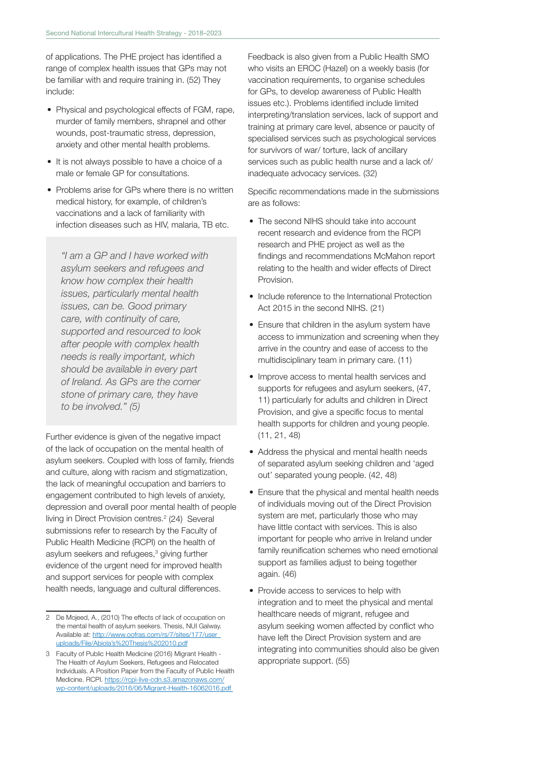of applications. The PHE project has identified a range of complex health issues that GPs may not be familiar with and require training in. (52) They include:

- Physical and psychological effects of FGM, rape, murder of family members, shrapnel and other wounds, post-traumatic stress, depression, anxiety and other mental health problems.
- It is not always possible to have a choice of a male or female GP for consultations.
- Problems arise for GPs where there is no written medical history, for example, of children's vaccinations and a lack of familiarity with infection diseases such as HIV, malaria, TB etc.

*"I am a GP and I have worked with asylum seekers and refugees and know how complex their health issues, particularly mental health issues, can be. Good primary care, with continuity of care, supported and resourced to look after people with complex health needs is really important, which should be available in every part of Ireland. As GPs are the corner stone of primary care, they have to be involved." (5)*

Further evidence is given of the negative impact of the lack of occupation on the mental health of asylum seekers. Coupled with loss of family, friends and culture, along with racism and stigmatization, the lack of meaningful occupation and barriers to engagement contributed to high levels of anxiety, depression and overall poor mental health of people living in Direct Provision centres.<sup>2</sup> (24) Several submissions refer to research by the Faculty of Public Health Medicine (RCPI) on the health of asylum seekers and refugees,<sup>3</sup> giving further evidence of the urgent need for improved health and support services for people with complex health needs, language and cultural differences.

Feedback is also given from a Public Health SMO who visits an EROC (Hazel) on a weekly basis (for vaccination requirements, to organise schedules for GPs, to develop awareness of Public Health issues etc.). Problems identified include limited interpreting/translation services, lack of support and training at primary care level, absence or paucity of specialised services such as psychological services for survivors of war/ torture, lack of ancillary services such as public health nurse and a lack of/ inadequate advocacy services. (32)

Specific recommendations made in the submissions are as follows:

- The second NIHS should take into account recent research and evidence from the RCPI research and PHE project as well as the findings and recommendations McMahon report relating to the health and wider effects of Direct Provision.
- Include reference to the International Protection Act 2015 in the second NIHS. (21)
- Ensure that children in the asylum system have access to immunization and screening when they arrive in the country and ease of access to the multidisciplinary team in primary care. (11)
- Improve access to mental health services and supports for refugees and asylum seekers, (47, 11) particularly for adults and children in Direct Provision, and give a specific focus to mental health supports for children and young people. (11, 21, 48)
- Address the physical and mental health needs of separated asylum seeking children and 'aged out' separated young people. (42, 48)
- Ensure that the physical and mental health needs of individuals moving out of the Direct Provision system are met, particularly those who may have little contact with services. This is also important for people who arrive in Ireland under family reunification schemes who need emotional support as families adjust to being together again. (46)
- Provide access to services to help with integration and to meet the physical and mental healthcare needs of migrant, refugee and asylum seeking women affected by conflict who have left the Direct Provision system and are integrating into communities should also be given appropriate support. (55)

<sup>2</sup> De Mojeed, A., (2010) The effects of lack of occupation on the mental health of asylum seekers. Thesis, NUI Galway. Available at: http://www.oofras.com/rs/7/sites/177/user\_ uploads/File/Abiola's%20Thesis%202010.pdf

<sup>3</sup> Faculty of Public Health Medicine (2016) Migrant Health - The Health of Asylum Seekers, Refugees and Relocated Individuals. A Position Paper from the Faculty of Public Health Medicine. RCPI. https://rcpi-live-cdn.s3.amazonaws.com/ wp-content/uploads/2016/06/Migrant-Health-16062016.pdf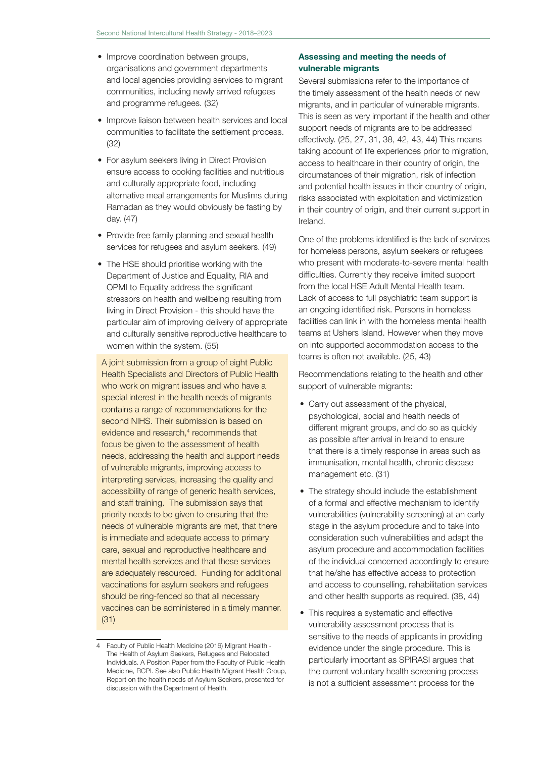- Improve coordination between groups, organisations and government departments and local agencies providing services to migrant communities, including newly arrived refugees and programme refugees. (32)
- Improve liaison between health services and local communities to facilitate the settlement process. (32)
- For asylum seekers living in Direct Provision ensure access to cooking facilities and nutritious and culturally appropriate food, including alternative meal arrangements for Muslims during Ramadan as they would obviously be fasting by day. (47)
- Provide free family planning and sexual health services for refugees and asylum seekers. (49)
- The HSE should prioritise working with the Department of Justice and Equality, RIA and OPMI to Equality address the significant stressors on health and wellbeing resulting from living in Direct Provision - this should have the particular aim of improving delivery of appropriate and culturally sensitive reproductive healthcare to women within the system. (55)

A joint submission from a group of eight Public Health Specialists and Directors of Public Health who work on migrant issues and who have a special interest in the health needs of migrants contains a range of recommendations for the second NIHS. Their submission is based on evidence and research,<sup>4</sup> recommends that focus be given to the assessment of health needs, addressing the health and support needs of vulnerable migrants, improving access to interpreting services, increasing the quality and accessibility of range of generic health services, and staff training. The submission says that priority needs to be given to ensuring that the needs of vulnerable migrants are met, that there is immediate and adequate access to primary care, sexual and reproductive healthcare and mental health services and that these services are adequately resourced. Funding for additional vaccinations for asylum seekers and refugees should be ring-fenced so that all necessary vaccines can be administered in a timely manner. (31)

### Assessing and meeting the needs of vulnerable migrants

Several submissions refer to the importance of the timely assessment of the health needs of new migrants, and in particular of vulnerable migrants. This is seen as very important if the health and other support needs of migrants are to be addressed effectively. (25, 27, 31, 38, 42, 43, 44) This means taking account of life experiences prior to migration, access to healthcare in their country of origin, the circumstances of their migration, risk of infection and potential health issues in their country of origin, risks associated with exploitation and victimization in their country of origin, and their current support in Ireland.

One of the problems identified is the lack of services for homeless persons, asylum seekers or refugees who present with moderate-to-severe mental health difficulties. Currently they receive limited support from the local HSE Adult Mental Health team. Lack of access to full psychiatric team support is an ongoing identified risk. Persons in homeless facilities can link in with the homeless mental health teams at Ushers Island. However when they move on into supported accommodation access to the teams is often not available. (25, 43)

Recommendations relating to the health and other support of vulnerable migrants:

- Carry out assessment of the physical, psychological, social and health needs of different migrant groups, and do so as quickly as possible after arrival in Ireland to ensure that there is a timely response in areas such as immunisation, mental health, chronic disease management etc. (31)
- The strategy should include the establishment of a formal and effective mechanism to identify vulnerabilities (vulnerability screening) at an early stage in the asylum procedure and to take into consideration such vulnerabilities and adapt the asylum procedure and accommodation facilities of the individual concerned accordingly to ensure that he/she has effective access to protection and access to counselling, rehabilitation services and other health supports as required. (38, 44)
- This requires a systematic and effective vulnerability assessment process that is sensitive to the needs of applicants in providing evidence under the single procedure. This is particularly important as SPIRASI argues that the current voluntary health screening process is not a sufficient assessment process for the

<sup>4</sup> Faculty of Public Health Medicine (2016) Migrant Health - The Health of Asylum Seekers, Refugees and Relocated Individuals. A Position Paper from the Faculty of Public Health Medicine, RCPI. See also Public Health Migrant Health Group, Report on the health needs of Asylum Seekers, presented for discussion with the Department of Health.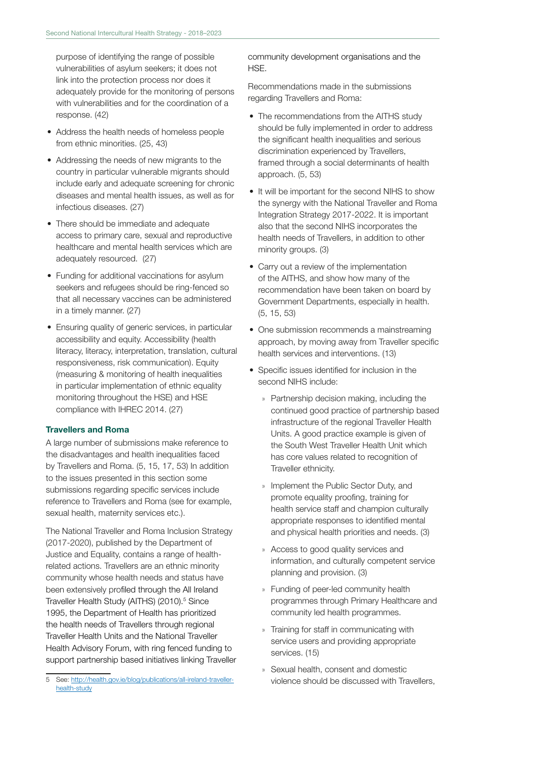purpose of identifying the range of possible vulnerabilities of asylum seekers; it does not link into the protection process nor does it adequately provide for the monitoring of persons with vulnerabilities and for the coordination of a response. (42)

- Address the health needs of homeless people from ethnic minorities. (25, 43)
- Addressing the needs of new migrants to the country in particular vulnerable migrants should include early and adequate screening for chronic diseases and mental health issues, as well as for infectious diseases. (27)
- There should be immediate and adequate access to primary care, sexual and reproductive healthcare and mental health services which are adequately resourced. (27)
- Funding for additional vaccinations for asylum seekers and refugees should be ring-fenced so that all necessary vaccines can be administered in a timely manner. (27)
- Ensuring quality of generic services, in particular accessibility and equity. Accessibility (health literacy, literacy, interpretation, translation, cultural responsiveness, risk communication). Equity (measuring & monitoring of health inequalities in particular implementation of ethnic equality monitoring throughout the HSE) and HSE compliance with IHREC 2014. (27)

#### Travellers and Roma

A large number of submissions make reference to the disadvantages and health inequalities faced by Travellers and Roma. (5, 15, 17, 53) In addition to the issues presented in this section some submissions regarding specific services include reference to Travellers and Roma (see for example, sexual health, maternity services etc.).

The National Traveller and Roma Inclusion Strategy (2017-2020), published by the Department of Justice and Equality, contains a range of healthrelated actions. Travellers are an ethnic minority community whose health needs and status have been extensively profiled through the All Ireland Traveller Health Study (AITHS) (2010).<sup>5</sup> Since 1995, the Department of Health has prioritized the health needs of Travellers through regional Traveller Health Units and the National Traveller Health Advisory Forum, with ring fenced funding to support partnership based initiatives linking Traveller community development organisations and the HSE.

Recommendations made in the submissions regarding Travellers and Roma:

- The recommendations from the AITHS study should be fully implemented in order to address the significant health inequalities and serious discrimination experienced by Travellers, framed through a social determinants of health approach. (5, 53)
- It will be important for the second NIHS to show the synergy with the National Traveller and Roma Integration Strategy 2017-2022. It is important also that the second NIHS incorporates the health needs of Travellers, in addition to other minority groups. (3)
- Carry out a review of the implementation of the AITHS, and show how many of the recommendation have been taken on board by Government Departments, especially in health. (5, 15, 53)
- One submission recommends a mainstreaming approach, by moving away from Traveller specific health services and interventions. (13)
- Specific issues identified for inclusion in the second NIHS include:
	- » Partnership decision making, including the continued good practice of partnership based infrastructure of the regional Traveller Health Units. A good practice example is given of the South West Traveller Health Unit which has core values related to recognition of Traveller ethnicity.
	- » Implement the Public Sector Duty, and promote equality proofing, training for health service staff and champion culturally appropriate responses to identified mental and physical health priorities and needs. (3)
	- » Access to good quality services and information, and culturally competent service planning and provision. (3)
	- » Funding of peer-led community health programmes through Primary Healthcare and community led health programmes.
	- » Training for staff in communicating with service users and providing appropriate services. (15)
	- » Sexual health, consent and domestic violence should be discussed with Travellers,

<sup>5</sup> See: http://health.gov.ie/blog/publications/all-ireland-travellerhealth-study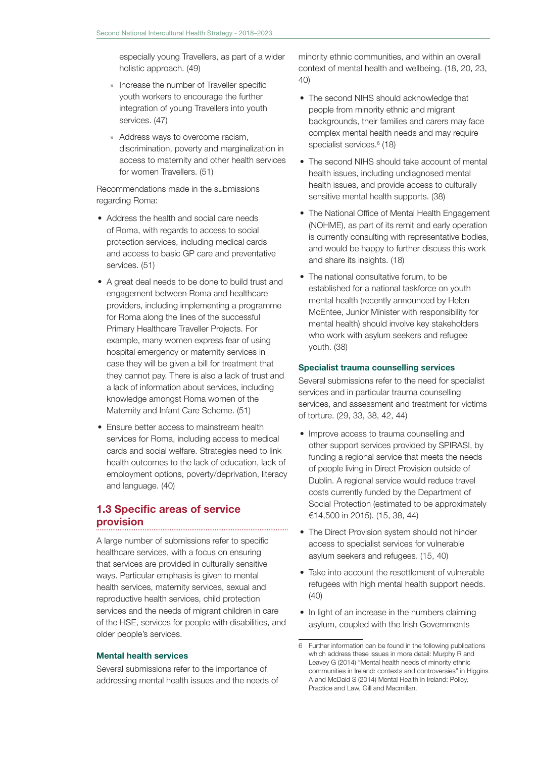especially young Travellers, as part of a wider holistic approach. (49)

- » Increase the number of Traveller specific youth workers to encourage the further integration of young Travellers into youth services. (47)
- » Address ways to overcome racism, discrimination, poverty and marginalization in access to maternity and other health services for women Travellers. (51)

Recommendations made in the submissions regarding Roma:

- Address the health and social care needs of Roma, with regards to access to social protection services, including medical cards and access to basic GP care and preventative services. (51)
- A great deal needs to be done to build trust and engagement between Roma and healthcare providers, including implementing a programme for Roma along the lines of the successful Primary Healthcare Traveller Projects. For example, many women express fear of using hospital emergency or maternity services in case they will be given a bill for treatment that they cannot pay. There is also a lack of trust and a lack of information about services, including knowledge amongst Roma women of the Maternity and Infant Care Scheme. (51)
- Ensure better access to mainstream health services for Roma, including access to medical cards and social welfare. Strategies need to link health outcomes to the lack of education, lack of employment options, poverty/deprivation, literacy and language. (40)

#### 1.3 Specific areas of service provision

A large number of submissions refer to specific healthcare services, with a focus on ensuring that services are provided in culturally sensitive ways. Particular emphasis is given to mental health services, maternity services, sexual and reproductive health services, child protection services and the needs of migrant children in care of the HSE, services for people with disabilities, and older people's services.

#### Mental health services

Several submissions refer to the importance of addressing mental health issues and the needs of minority ethnic communities, and within an overall context of mental health and wellbeing. (18, 20, 23, 40)

- The second NIHS should acknowledge that people from minority ethnic and migrant backgrounds, their families and carers may face complex mental health needs and may require specialist services.<sup>6</sup> (18)
- The second NIHS should take account of mental health issues, including undiagnosed mental health issues, and provide access to culturally sensitive mental health supports. (38)
- The National Office of Mental Health Engagement (NOHME), as part of its remit and early operation is currently consulting with representative bodies, and would be happy to further discuss this work and share its insights. (18)
- The national consultative forum, to be established for a national taskforce on youth mental health (recently announced by Helen McEntee, Junior Minister with responsibility for mental health) should involve key stakeholders who work with asylum seekers and refugee youth. (38)

#### Specialist trauma counselling services

Several submissions refer to the need for specialist services and in particular trauma counselling services, and assessment and treatment for victims of torture. (29, 33, 38, 42, 44)

- Improve access to trauma counselling and other support services provided by SPIRASI, by funding a regional service that meets the needs of people living in Direct Provision outside of Dublin. A regional service would reduce travel costs currently funded by the Department of Social Protection (estimated to be approximately €14,500 in 2015). (15, 38, 44)
- The Direct Provision system should not hinder access to specialist services for vulnerable asylum seekers and refugees. (15, 40)
- Take into account the resettlement of vulnerable refugees with high mental health support needs. (40)
- In light of an increase in the numbers claiming asylum, coupled with the Irish Governments

<sup>6</sup> Further information can be found in the following publications which address these issues in more detail: Murphy R and Leavey G (2014) "Mental health needs of minority ethnic communities in Ireland: contexts and controversies" in Higgins A and McDaid S (2014) Mental Health in Ireland: Policy, Practice and Law, Gill and Macmillan.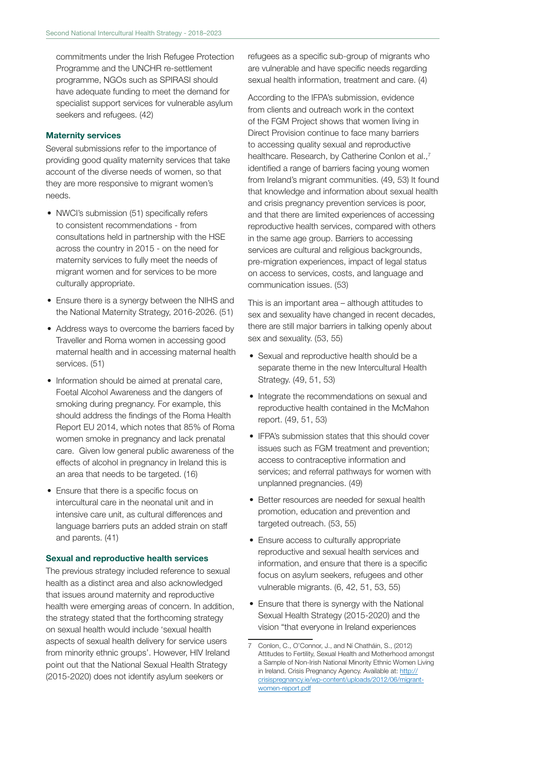commitments under the Irish Refugee Protection Programme and the UNCHR re-settlement programme, NGOs such as SPIRASI should have adequate funding to meet the demand for specialist support services for vulnerable asylum seekers and refugees. (42)

#### Maternity services

Several submissions refer to the importance of providing good quality maternity services that take account of the diverse needs of women, so that they are more responsive to migrant women's needs.

- NWCI's submission (51) specifically refers to consistent recommendations - from consultations held in partnership with the HSE across the country in 2015 - on the need for maternity services to fully meet the needs of migrant women and for services to be more culturally appropriate.
- Ensure there is a synergy between the NIHS and the National Maternity Strategy, 2016-2026. (51)
- Address ways to overcome the barriers faced by Traveller and Roma women in accessing good maternal health and in accessing maternal health services. (51)
- Information should be aimed at prenatal care, Foetal Alcohol Awareness and the dangers of smoking during pregnancy. For example, this should address the findings of the Roma Health Report EU 2014, which notes that 85% of Roma women smoke in pregnancy and lack prenatal care. Given low general public awareness of the effects of alcohol in pregnancy in Ireland this is an area that needs to be targeted. (16)
- Ensure that there is a specific focus on intercultural care in the neonatal unit and in intensive care unit, as cultural differences and language barriers puts an added strain on staff and parents. (41)

#### Sexual and reproductive health services

The previous strategy included reference to sexual health as a distinct area and also acknowledged that issues around maternity and reproductive health were emerging areas of concern. In addition, the strategy stated that the forthcoming strategy on sexual health would include 'sexual health aspects of sexual health delivery for service users from minority ethnic groups'. However, HIV Ireland point out that the National Sexual Health Strategy (2015-2020) does not identify asylum seekers or

refugees as a specific sub-group of migrants who are vulnerable and have specific needs regarding sexual health information, treatment and care. (4)

According to the IFPA's submission, evidence from clients and outreach work in the context of the FGM Project shows that women living in Direct Provision continue to face many barriers to accessing quality sexual and reproductive healthcare. Research, by Catherine Conlon et al.,<sup>7</sup> identified a range of barriers facing young women from Ireland's migrant communities. (49, 53) It found that knowledge and information about sexual health and crisis pregnancy prevention services is poor, and that there are limited experiences of accessing reproductive health services, compared with others in the same age group. Barriers to accessing services are cultural and religious backgrounds, pre-migration experiences, impact of legal status on access to services, costs, and language and communication issues. (53)

This is an important area – although attitudes to sex and sexuality have changed in recent decades, there are still major barriers in talking openly about sex and sexuality. (53, 55)

- Sexual and reproductive health should be a separate theme in the new Intercultural Health Strategy. (49, 51, 53)
- Integrate the recommendations on sexual and reproductive health contained in the McMahon report. (49, 51, 53)
- IFPA's submission states that this should cover issues such as FGM treatment and prevention; access to contraceptive information and services; and referral pathways for women with unplanned pregnancies. (49)
- Better resources are needed for sexual health promotion, education and prevention and targeted outreach. (53, 55)
- Ensure access to culturally appropriate reproductive and sexual health services and information, and ensure that there is a specific focus on asylum seekers, refugees and other vulnerable migrants. (6, 42, 51, 53, 55)
- Ensure that there is synergy with the National Sexual Health Strategy (2015-2020) and the vision "that everyone in Ireland experiences

<sup>7</sup> Conlon, C., O'Connor, J., and Ní Chatháin, S., (2012) Attitudes to Fertility, Sexual Health and Motherhood amongst a Sample of Non-Irish National Minority Ethnic Women Living in Ireland. Crisis Pregnancy Agency. Available at: http:// crisispregnancy.ie/wp-content/uploads/2012/06/migrantwomen-report.pdf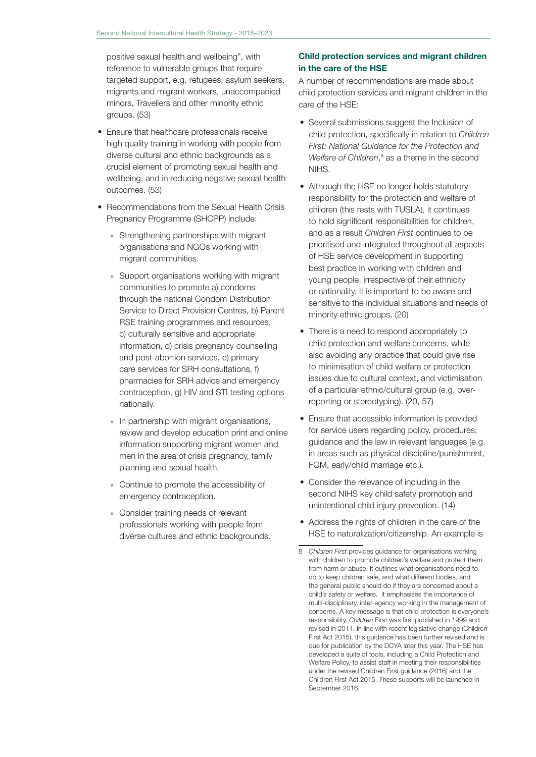positive sexual health and wellbeing", with reference to vulnerable groups that require targeted support, e.g. refugees, asylum seekers, migrants and migrant workers, unaccompanied minors, Travellers and other minority ethnic groups. (53)

- Ensure that healthcare professionals receive high quality training in working with people from diverse cultural and ethnic backgrounds as a crucial element of promoting sexual health and wellbeing, and in reducing negative sexual health outcomes. (53)
- Recommendations from the Sexual Health Crisis Pregnancy Programme (SHCPP) include:
	- » Strengthening partnerships with migrant organisations and NGOs working with migrant communities.
	- » Support organisations working with migrant communities to promote a) condoms through the national Condom Distribution Service to Direct Provision Centres, b) Parent RSE training programmes and resources, c) culturally sensitive and appropriate information, d) crisis pregnancy counselling and post-abortion services, e) primary care services for SRH consultations, f) pharmacies for SRH advice and emergency contraception, g) HIV and STI testing options nationally.
	- » In partnership with migrant organisations, review and develop education print and online information supporting migrant women and men in the area of crisis pregnancy, family planning and sexual health.
	- » Continue to promote the accessibility of emergency contraception.
	- » Consider training needs of relevant professionals working with people from diverse cultures and ethnic backgrounds.

### Child protection services and migrant children in the care of the HSE

A number of recommendations are made about child protection services and migrant children in the care of the HSE:

- Several submissions suggest the Inclusion of child protection, specifically in relation to *Children First: National Guidance for the Protection and*  Welfare of Children,<sup>8</sup> as a theme in the second NIHS.
- Although the HSE no longer holds statutory responsibility for the protection and welfare of children (this rests with TUSLA), it continues to hold significant responsibilities for children, and as a result *Children First* continues to be prioritised and integrated throughout all aspects of HSE service development in supporting best practice in working with children and young people, irrespective of their ethnicity or nationality. It is important to be aware and sensitive to the individual situations and needs of minority ethnic groups. (20)
- There is a need to respond appropriately to child protection and welfare concerns, while also avoiding any practice that could give rise to minimisation of child welfare or protection issues due to cultural context, and victimisation of a particular ethnic/cultural group (e.g. overreporting or stereotyping). (20, 57)
- Ensure that accessible information is provided for service users regarding policy, procedures, guidance and the law in relevant languages (e.g. in areas such as physical discipline/punishment, FGM, early/child marriage etc.).
- Consider the relevance of including in the second NIHS key child safety promotion and unintentional child injury prevention. (14)
- Address the rights of children in the care of the HSE to naturalization/citizenship. An example is

<sup>8</sup> *Children First* provides guidance for organisations working with children to promote children's welfare and protect them from harm or abuse. It outlines what organisations need to do to keep children safe, and what different bodies, and the general public should do if they are concerned about a child's safety or welfare. It emphasises the importance of multi-disciplinary, inter-agency working in the management of concerns. A key message is that child protection is everyone's responsibility. *Children* First was first published in 1999 and revised in 2011. In line with recent legislative change (Children First Act 2015), this guidance has been further revised and is due for publication by the DCYA later this year. The HSE has developed a suite of tools, including a Child Protection and Welfare Policy, to assist staff in meeting their responsibilities under the revised Children First guidance (2016) and the Children First Act 2015. These supports will be launched in September 2016.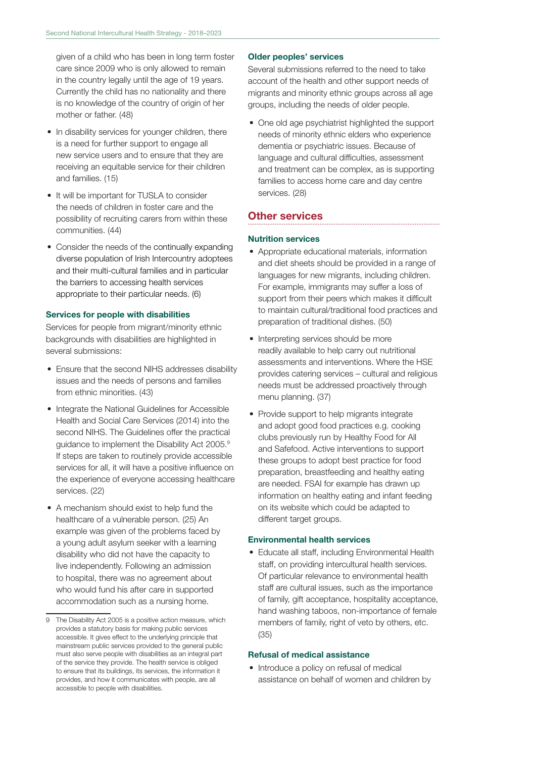given of a child who has been in long term foster care since 2009 who is only allowed to remain in the country legally until the age of 19 years. Currently the child has no nationality and there is no knowledge of the country of origin of her mother or father. (48)

- In disability services for younger children, there is a need for further support to engage all new service users and to ensure that they are receiving an equitable service for their children and families. (15)
- It will be important for TUSLA to consider the needs of children in foster care and the possibility of recruiting carers from within these communities. (44)
- Consider the needs of the continually expanding diverse population of Irish Intercountry adoptees and their multi-cultural families and in particular the barriers to accessing health services appropriate to their particular needs. (6)

#### Services for people with disabilities

Services for people from migrant/minority ethnic backgrounds with disabilities are highlighted in several submissions:

- Ensure that the second NIHS addresses disability issues and the needs of persons and families from ethnic minorities. (43)
- Integrate the National Guidelines for Accessible Health and Social Care Services (2014) into the second NIHS. The Guidelines offer the practical guidance to implement the Disability Act 2005.9 If steps are taken to routinely provide accessible services for all, it will have a positive influence on the experience of everyone accessing healthcare services. (22)
- A mechanism should exist to help fund the healthcare of a vulnerable person. (25) An example was given of the problems faced by a young adult asylum seeker with a learning disability who did not have the capacity to live independently. Following an admission to hospital, there was no agreement about who would fund his after care in supported accommodation such as a nursing home.

#### Older peoples' services

Several submissions referred to the need to take account of the health and other support needs of migrants and minority ethnic groups across all age groups, including the needs of older people.

• One old age psychiatrist highlighted the support needs of minority ethnic elders who experience dementia or psychiatric issues. Because of language and cultural difficulties, assessment and treatment can be complex, as is supporting families to access home care and day centre services. (28)

### Other services

#### Nutrition services

- Appropriate educational materials, information and diet sheets should be provided in a range of languages for new migrants, including children. For example, immigrants may suffer a loss of support from their peers which makes it difficult to maintain cultural/traditional food practices and preparation of traditional dishes. (50)
- Interpreting services should be more readily available to help carry out nutritional assessments and interventions. Where the HSE provides catering services – cultural and religious needs must be addressed proactively through menu planning. (37)
- Provide support to help migrants integrate and adopt good food practices e.g. cooking clubs previously run by Healthy Food for All and Safefood. Active interventions to support these groups to adopt best practice for food preparation, breastfeeding and healthy eating are needed. FSAI for example has drawn up information on healthy eating and infant feeding on its website which could be adapted to different target groups.

#### Environmental health services

• Educate all staff, including Environmental Health staff, on providing intercultural health services. Of particular relevance to environmental health staff are cultural issues, such as the importance of family, gift acceptance, hospitality acceptance, hand washing taboos, non-importance of female members of family, right of veto by others, etc. (35)

#### Refusal of medical assistance

• Introduce a policy on refusal of medical assistance on behalf of women and children by

<sup>9</sup> The Disability Act 2005 is a positive action measure, which provides a statutory basis for making public services accessible. It gives effect to the underlying principle that mainstream public services provided to the general public must also serve people with disabilities as an integral part of the service they provide. The health service is obliged to ensure that its buildings, its services, the information it provides, and how it communicates with people, are all accessible to people with disabilities.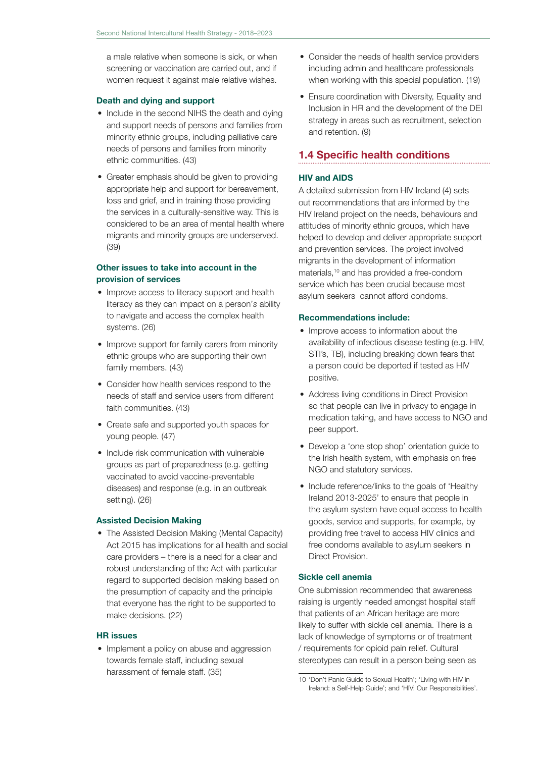a male relative when someone is sick, or when screening or vaccination are carried out, and if women request it against male relative wishes.

#### Death and dying and support

- Include in the second NIHS the death and dying and support needs of persons and families from minority ethnic groups, including palliative care needs of persons and families from minority ethnic communities. (43)
- Greater emphasis should be given to providing appropriate help and support for bereavement, loss and grief, and in training those providing the services in a culturally-sensitive way. This is considered to be an area of mental health where migrants and minority groups are underserved. (39)

#### Other issues to take into account in the provision of services

- Improve access to literacy support and health literacy as they can impact on a person'*s* ability to navigate and access the complex health systems. (26)
- Improve support for family carers from minority ethnic groups who are supporting their own family members. (43)
- Consider how health services respond to the needs of staff and service users from different faith communities. (43)
- Create safe and supported youth spaces for young people. (47)
- Include risk communication with vulnerable groups as part of preparedness (e.g. getting vaccinated to avoid vaccine-preventable diseases) and response (e.g. in an outbreak setting). (26)

#### Assisted Decision Making

• The Assisted Decision Making (Mental Capacity) Act 2015 has implications for all health and social care providers – there is a need for a clear and robust understanding of the Act with particular regard to supported decision making based on the presumption of capacity and the principle that everyone has the right to be supported to make decisions. (22)

#### HR issues

• Implement a policy on abuse and aggression towards female staff, including sexual harassment of female staff. (35)

- Consider the needs of health service providers including admin and healthcare professionals when working with this special population. (19)
- Ensure coordination with Diversity, Equality and Inclusion in HR and the development of the DEI strategy in areas such as recruitment, selection and retention. (9)

### 1.4 Specific health conditions

#### HIV and AIDS

A detailed submission from HIV Ireland (4) sets out recommendations that are informed by the HIV Ireland project on the needs, behaviours and attitudes of minority ethnic groups, which have helped to develop and deliver appropriate support and prevention services. The project involved migrants in the development of information materials,10 and has provided a free-condom service which has been crucial because most asylum seekers cannot afford condoms.

#### Recommendations include:

- Improve access to information about the availability of infectious disease testing (e.g. HIV, STI's, TB), including breaking down fears that a person could be deported if tested as HIV positive.
- Address living conditions in Direct Provision so that people can live in privacy to engage in medication taking, and have access to NGO and peer support.
- Develop a 'one stop shop' orientation guide to the Irish health system, with emphasis on free NGO and statutory services.
- Include reference/links to the goals of 'Healthy Ireland 2013-2025' to ensure that people in the asylum system have equal access to health goods, service and supports, for example, by providing free travel to access HIV clinics and free condoms available to asylum seekers in Direct Provision.

#### Sickle cell anemia

One submission recommended that awareness raising is urgently needed amongst hospital staff that patients of an African heritage are more likely to suffer with sickle cell anemia. There is a lack of knowledge of symptoms or of treatment / requirements for opioid pain relief. Cultural stereotypes can result in a person being seen as

<sup>10</sup> 'Don't Panic Guide to Sexual Health'; 'Living with HIV in Ireland: a Self-Help Guide'; and 'HIV: Our Responsibilities'.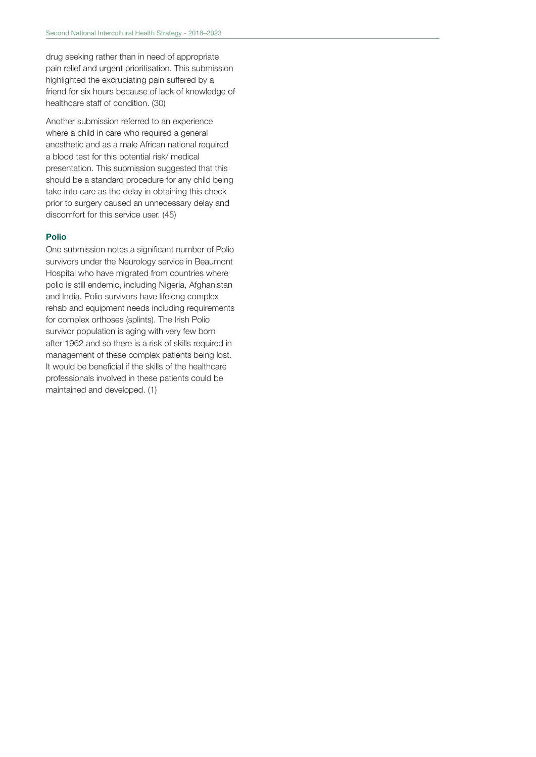drug seeking rather than in need of appropriate pain relief and urgent prioritisation. This submission highlighted the excruciating pain suffered by a friend for six hours because of lack of knowledge of healthcare staff of condition. (30)

Another submission referred to an experience where a child in care who required a general anesthetic and as a male African national required a blood test for this potential risk/ medical presentation. This submission suggested that this should be a standard procedure for any child being take into care as the delay in obtaining this check prior to surgery caused an unnecessary delay and discomfort for this service user. (45)

#### Polio

One submission notes a significant number of Polio survivors under the Neurology service in Beaumont Hospital who have migrated from countries where polio is still endemic, including Nigeria, Afghanistan and India. Polio survivors have lifelong complex rehab and equipment needs including requirements for complex orthoses (splints). The Irish Polio survivor population is aging with very few born after 1962 and so there is a risk of skills required in management of these complex patients being lost. It would be beneficial if the skills of the healthcare professionals involved in these patients could be maintained and developed. (1)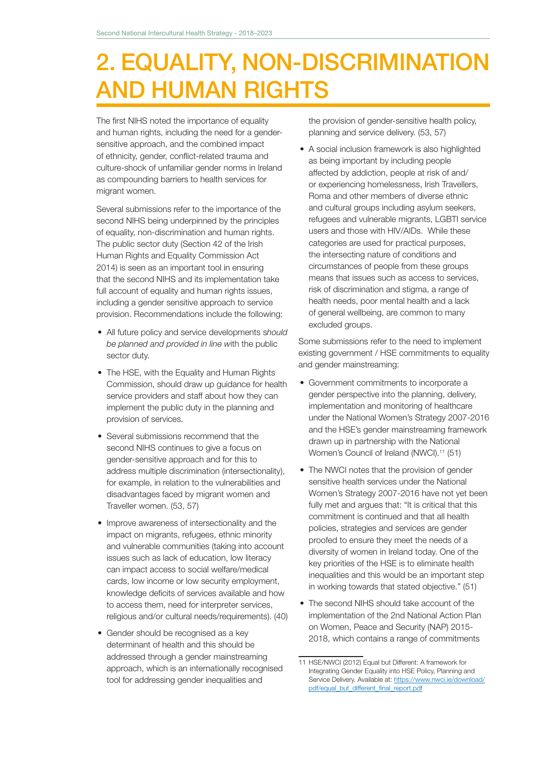# 2. EQUALITY, NON-DISCRIMINATION AND HUMAN RIGHTS

The first NIHS noted the importance of equality and human rights, including the need for a gendersensitive approach, and the combined impact of ethnicity, gender, conflict-related trauma and culture-shock of unfamiliar gender norms in Ireland as compounding barriers to health services for migrant women.

Several submissions refer to the importance of the second NIHS being underpinned by the principles of equality, non-discrimination and human rights. The public sector duty (Section 42 of the Irish Human Rights and Equality Commission Act 2014) is seen as an important tool in ensuring that the second NIHS and its implementation take full account of equality and human rights issues, including a gender sensitive approach to service provision. Recommendations include the following:

- All future policy and service developments s*hould be planned and provided in line w*ith the public sector duty.
- The HSE, with the Equality and Human Rights Commission, should draw up guidance for health service providers and staff about how they can implement the public duty in the planning and provision of services.
- Several submissions recommend that the second NIHS continues to give a focus on gender-sensitive approach and for this to address multiple discrimination (intersectionality), for example, in relation to the vulnerabilities and disadvantages faced by migrant women and Traveller women. (53, 57)
- Improve awareness of intersectionality and the impact on migrants, refugees, ethnic minority and vulnerable communities (taking into account issues such as lack of education, low literacy can impact access to social welfare/medical cards, low income or low security employment, knowledge deficits of services available and how to access them, need for interpreter services, religious and/or cultural needs/requirements). (40)
- Gender should be recognised as a key determinant of health and this should be addressed through a gender mainstreaming approach, which is an internationally recognised tool for addressing gender inequalities and

the provision of gender-sensitive health policy, planning and service delivery. (53, 57)

• A social inclusion framework is also highlighted as being important by including people affected by addiction, people at risk of and/ or experiencing homelessness, Irish Travellers, Roma and other members of diverse ethnic and cultural groups including asylum seekers, refugees and vulnerable migrants, LGBTI service users and those with HIV/AIDs. While these categories are used for practical purposes, the intersecting nature of conditions and circumstances of people from these groups means that issues such as access to services, risk of discrimination and stigma, a range of health needs, poor mental health and a lack of general wellbeing, are common to many excluded groups.

Some submissions refer to the need to implement existing government / HSE commitments to equality and gender mainstreaming:

- Government commitments to incorporate a gender perspective into the planning, delivery, implementation and monitoring of healthcare under the National Women's Strategy 2007-2016 and the HSE's gender mainstreaming framework drawn up in partnership with the National Women's Council of Ireland (NWCI).<sup>11</sup> (51)
- The NWCI notes that the provision of gender sensitive health services under the National Women's Strategy 2007-2016 have not yet been fully met and argues that: "It is critical that this commitment is continued and that all health policies, strategies and services are gender proofed to ensure they meet the needs of a diversity of women in Ireland today. One of the key priorities of the HSE is to eliminate health inequalities and this would be an important step in working towards that stated objective." (51)
- The second NIHS should take account of the implementation of the 2nd National Action Plan on Women, Peace and Security (NAP) 2015- 2018, which contains a range of commitments

<sup>11</sup> HSE/NWCI (2012) Equal but Different: A framework for Integrating Gender Equality into HSE Policy, Planning and Service Delivery. Available at: https://www.nwci.ie/download/ pdf/equal\_but\_different\_final\_report.pdf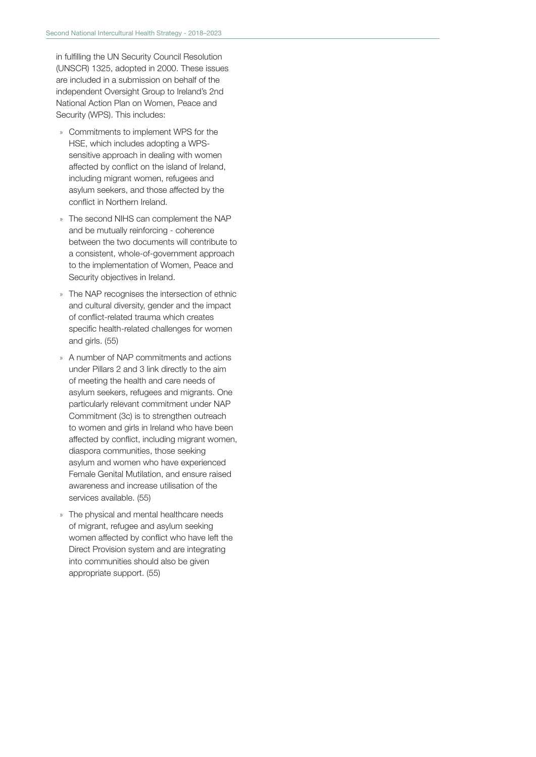in fulfilling the UN Security Council Resolution (UNSCR) 1325, adopted in 2000. These issues are included in a submission on behalf of the independent Oversight Group to Ireland's 2nd National Action Plan on Women, Peace and Security (WPS). This includes:

- » Commitments to implement WPS for the HSE, which includes adopting a WPSsensitive approach in dealing with women affected by conflict on the island of Ireland, including migrant women, refugees and asylum seekers, and those affected by the conflict in Northern Ireland.
- » The second NIHS can complement the NAP and be mutually reinforcing - coherence between the two documents will contribute to a consistent, whole-of-government approach to the implementation of Women, Peace and Security objectives in Ireland.
- » The NAP recognises the intersection of ethnic and cultural diversity, gender and the impact of conflict-related trauma which creates specific health-related challenges for women and girls. (55)
- » A number of NAP commitments and actions under Pillars 2 and 3 link directly to the aim of meeting the health and care needs of asylum seekers, refugees and migrants. One particularly relevant commitment under NAP Commitment (3c) is to strengthen outreach to women and girls in Ireland who have been affected by conflict, including migrant women, diaspora communities, those seeking asylum and women who have experienced Female Genital Mutilation, and ensure raised awareness and increase utilisation of the services available. (55)
- » The physical and mental healthcare needs of migrant, refugee and asylum seeking women affected by conflict who have left the Direct Provision system and are integrating into communities should also be given appropriate support. (55)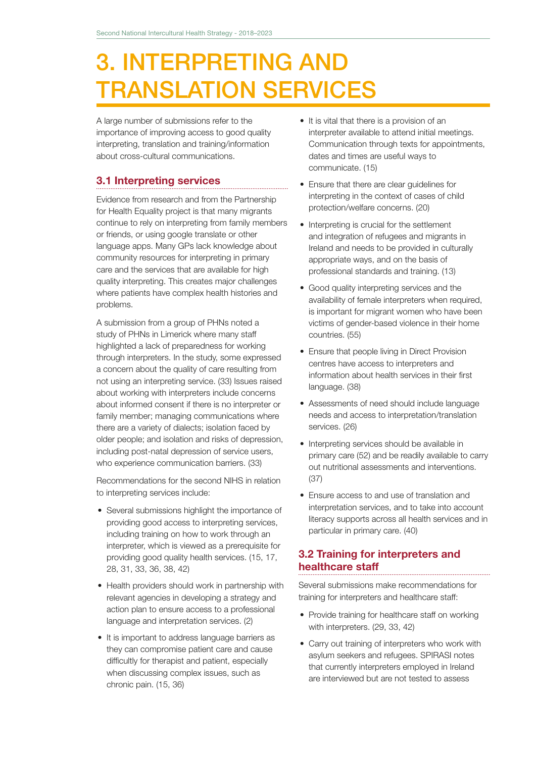# 3. INTERPRETING AND TRANSLATION SERVICES

A large number of submissions refer to the importance of improving access to good quality interpreting, translation and training/information about cross-cultural communications.

### 3.1 Interpreting services

Evidence from research and from the Partnership for Health Equality project is that many migrants continue to rely on interpreting from family members or friends, or using google translate or other language apps. Many GPs lack knowledge about community resources for interpreting in primary care and the services that are available for high quality interpreting. This creates major challenges where patients have complex health histories and problems.

A submission from a group of PHNs noted a study of PHNs in Limerick where many staff highlighted a lack of preparedness for working through interpreters. In the study, some expressed a concern about the quality of care resulting from not using an interpreting service. (33) Issues raised about working with interpreters include concerns about informed consent if there is no interpreter or family member; managing communications where there are a variety of dialects; isolation faced by older people; and isolation and risks of depression, including post-natal depression of service users, who experience communication barriers. (33)

Recommendations for the second NIHS in relation to interpreting services include:

- Several submissions highlight the importance of providing good access to interpreting services, including training on how to work through an interpreter, which is viewed as a prerequisite for providing good quality health services. (15, 17, 28, 31, 33, 36, 38, 42)
- Health providers should work in partnership with relevant agencies in developing a strategy and action plan to ensure access to a professional language and interpretation services. (2)
- It is important to address language barriers as they can compromise patient care and cause difficultly for therapist and patient, especially when discussing complex issues, such as chronic pain. (15, 36)
- It is vital that there is a provision of an interpreter available to attend initial meetings. Communication through texts for appointments, dates and times are useful ways to communicate. (15)
- Ensure that there are clear guidelines for interpreting in the context of cases of child protection/welfare concerns. (20)
- Interpreting is crucial for the settlement and integration of refugees and migrants in Ireland and needs to be provided in culturally appropriate ways, and on the basis of professional standards and training. (13)
- Good quality interpreting services and the availability of female interpreters when required, is important for migrant women who have been victims of gender-based violence in their home countries. (55)
- Ensure that people living in Direct Provision centres have access to interpreters and information about health services in their first language. (38)
- Assessments of need should include language needs and access to interpretation/translation services. (26)
- Interpreting services should be available in primary care (52) and be readily available to carry out nutritional assessments and interventions. (37)
- Ensure access to and use of translation and interpretation services, and to take into account literacy supports across all health services and in particular in primary care. (40)

# 3.2 Training for interpreters and healthcare staff

Several submissions make recommendations for training for interpreters and healthcare staff:

- Provide training for healthcare staff on working with interpreters. (29, 33, 42)
- Carry out training of interpreters who work with asylum seekers and refugees. SPIRASI notes that currently interpreters employed in Ireland are interviewed but are not tested to assess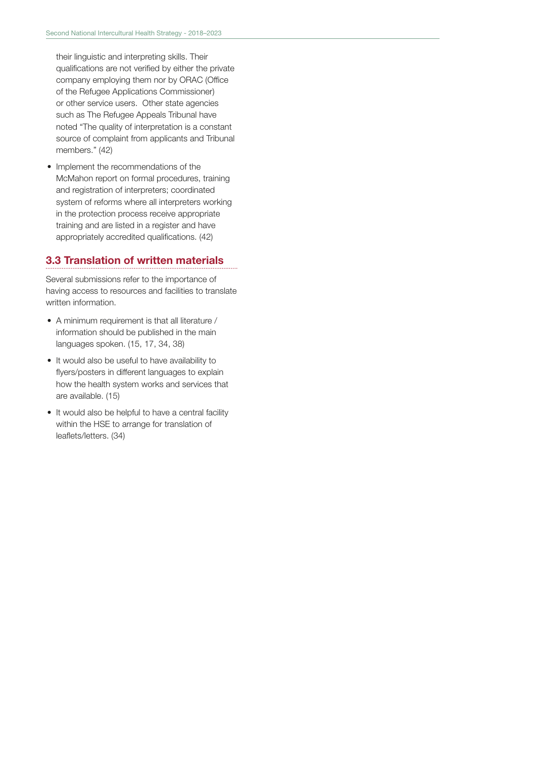their linguistic and interpreting skills. Their qualifications are not verified by either the private company employing them nor by ORAC (Office of the Refugee Applications Commissioner) or other service users. Other state agencies such as The Refugee Appeals Tribunal have noted "The quality of interpretation is a constant source of complaint from applicants and Tribunal members." (42)

• Implement the recommendations of the McMahon report on formal procedures, training and registration of interpreters; coordinated system of reforms where all interpreters working in the protection process receive appropriate training and are listed in a register and have appropriately accredited qualifications. (42)

### 3.3 Translation of written materials

Several submissions refer to the importance of having access to resources and facilities to translate written information.

- A minimum requirement is that all literature / information should be published in the main languages spoken. (15, 17, 34, 38)
- It would also be useful to have availability to flyers/posters in different languages to explain how the health system works and services that are available. (15)
- It would also be helpful to have a central facility within the HSE to arrange for translation of leaflets/letters. (34)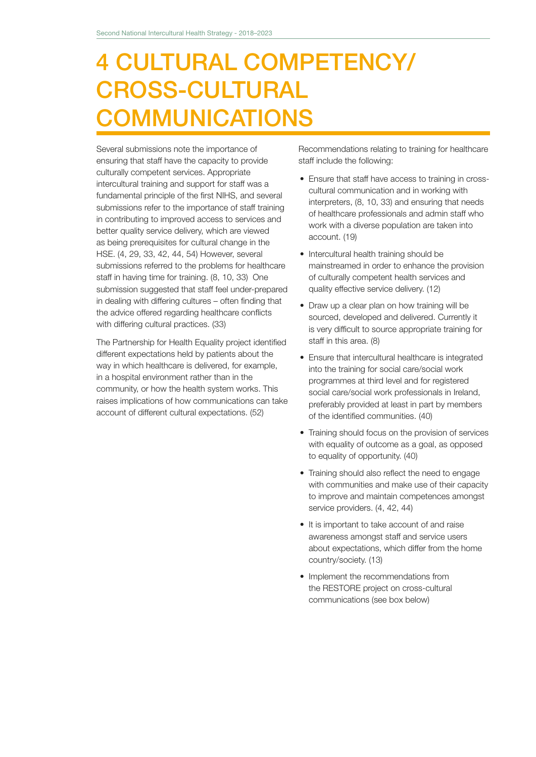# 4 CULTURAL COMPETENCY/ CROSS-CULTURAL **COMMUNICATIONS**

Several submissions note the importance of ensuring that staff have the capacity to provide culturally competent services. Appropriate intercultural training and support for staff was a fundamental principle of the first NIHS, and several submissions refer to the importance of staff training in contributing to improved access to services and better quality service delivery, which are viewed as being prerequisites for cultural change in the HSE. (4, 29, 33, 42, 44, 54) However, several submissions referred to the problems for healthcare staff in having time for training. (8, 10, 33) One submission suggested that staff feel under-prepared in dealing with differing cultures – often finding that the advice offered regarding healthcare conflicts with differing cultural practices. (33)

The Partnership for Health Equality project identified different expectations held by patients about the way in which healthcare is delivered, for example, in a hospital environment rather than in the community, or how the health system works. This raises implications of how communications can take account of different cultural expectations. (52)

Recommendations relating to training for healthcare staff include the following:

- Ensure that staff have access to training in crosscultural communication and in working with interpreters, (8, 10, 33) and ensuring that needs of healthcare professionals and admin staff who work with a diverse population are taken into account. (19)
- Intercultural health training should be mainstreamed in order to enhance the provision of culturally competent health services and quality effective service delivery. (12)
- Draw up a clear plan on how training will be sourced, developed and delivered. Currently it is very difficult to source appropriate training for staff in this area. (8)
- Ensure that intercultural healthcare is integrated into the training for social care/social work programmes at third level and for registered social care/social work professionals in Ireland, preferably provided at least in part by members of the identified communities. (40)
- Training should focus on the provision of services with equality of outcome as a goal, as opposed to equality of opportunity. (40)
- Training should also reflect the need to engage with communities and make use of their capacity to improve and maintain competences amongst service providers. (4, 42, 44)
- It is important to take account of and raise awareness amongst staff and service users about expectations, which differ from the home country/society. (13)
- Implement the recommendations from the RESTORE project on cross-cultural communications (see box below)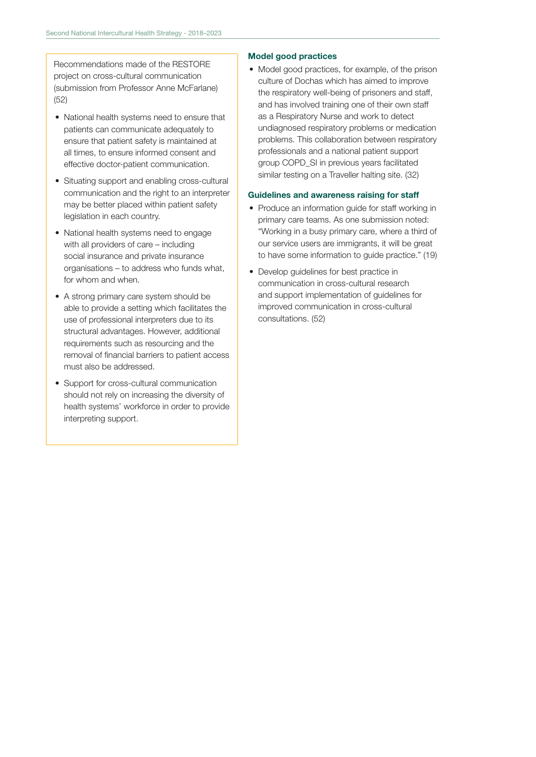Recommendations made of the RESTORE project on cross-cultural communication (submission from Professor Anne McFarlane) (52)

- National health systems need to ensure that patients can communicate adequately to ensure that patient safety is maintained at all times, to ensure informed consent and effective doctor-patient communication.
- Situating support and enabling cross-cultural communication and the right to an interpreter may be better placed within patient safety legislation in each country.
- National health systems need to engage with all providers of care – including social insurance and private insurance organisations – to address who funds what, for whom and when.
- A strong primary care system should be able to provide a setting which facilitates the use of professional interpreters due to its structural advantages. However, additional requirements such as resourcing and the removal of financial barriers to patient access must also be addressed.
- Support for cross-cultural communication should not rely on increasing the diversity of health systems' workforce in order to provide interpreting support.

#### Model good practices

• Model good practices, for example, of the prison culture of Dochas which has aimed to improve the respiratory well-being of prisoners and staff, and has involved training one of their own staff as a Respiratory Nurse and work to detect undiagnosed respiratory problems or medication problems. This collaboration between respiratory professionals and a national patient support group COPD\_SI in previous years facilitated similar testing on a Traveller halting site. (32)

#### Guidelines and awareness raising for staff

- Produce an information guide for staff working in primary care teams. As one submission noted: "Working in a busy primary care, where a third of our service users are immigrants, it will be great to have some information to guide practice." (19)
- Develop guidelines for best practice in communication in cross-cultural research and support implementation of guidelines for improved communication in cross-cultural consultations. (52)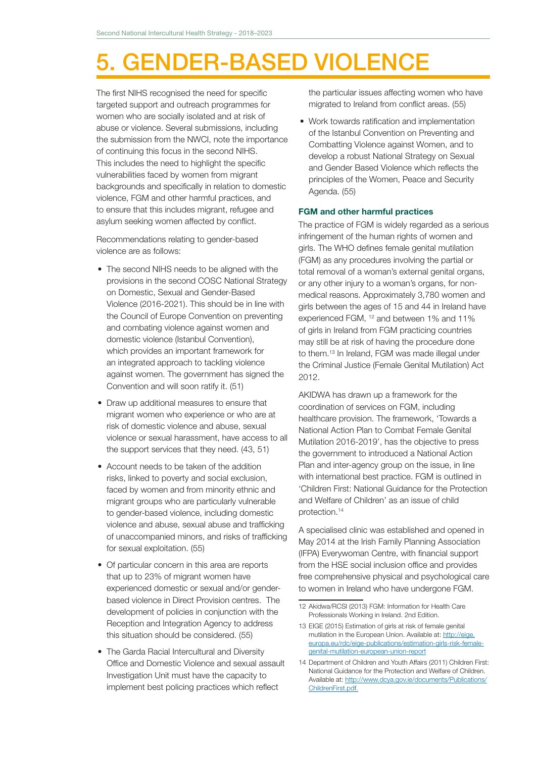# 5. GENDER-BASED VIOLENCE

The first NIHS recognised the need for specific targeted support and outreach programmes for women who are socially isolated and at risk of abuse or violence. Several submissions, including the submission from the NWCI, note the importance of continuing this focus in the second NIHS. This includes the need to highlight the specific vulnerabilities faced by women from migrant backgrounds and specifically in relation to domestic violence, FGM and other harmful practices, and to ensure that this includes migrant, refugee and asylum seeking women affected by conflict.

Recommendations relating to gender-based violence are as follows:

- The second NIHS needs to be aligned with the provisions in the second COSC National Strategy on Domestic, Sexual and Gender-Based Violence (2016-2021). This should be in line with the Council of Europe Convention on preventing and combating violence against women and domestic violence (Istanbul Convention), which provides an important framework for an integrated approach to tackling violence against women. The government has signed the Convention and will soon ratify it. (51)
- Draw up additional measures to ensure that migrant women who experience or who are at risk of domestic violence and abuse, sexual violence or sexual harassment, have access to all the support services that they need. (43, 51)
- Account needs to be taken of the addition risks, linked to poverty and social exclusion, faced by women and from minority ethnic and migrant groups who are particularly vulnerable to gender-based violence, including domestic violence and abuse, sexual abuse and trafficking of unaccompanied minors, and risks of trafficking for sexual exploitation. (55)
- Of particular concern in this area are reports that up to 23% of migrant women have experienced domestic or sexual and/or genderbased violence in Direct Provision centres. The development of policies in conjunction with the Reception and Integration Agency to address this situation should be considered. (55)
- The Garda Racial Intercultural and Diversity Office and Domestic Violence and sexual assault Investigation Unit must have the capacity to implement best policing practices which reflect

the particular issues affecting women who have migrated to Ireland from conflict areas. (55)

• Work towards ratification and implementation of the Istanbul Convention on Preventing and Combatting Violence against Women, and to develop a robust National Strategy on Sexual and Gender Based Violence which reflects the principles of the Women, Peace and Security Agenda. (55)

#### FGM and other harmful practices

The practice of FGM is widely regarded as a serious infringement of the human rights of women and girls. The WHO defines female genital mutilation (FGM) as any procedures involving the partial or total removal of a woman's external genital organs, or any other injury to a woman's organs, for nonmedical reasons. Approximately 3,780 women and girls between the ages of 15 and 44 in Ireland have experienced FGM, 12 and between 1% and 11% of girls in Ireland from FGM practicing countries may still be at risk of having the procedure done to them.13 In Ireland, FGM was made illegal under the Criminal Justice (Female Genital Mutilation) Act 2012.

AKIDWA has drawn up a framework for the coordination of services on FGM, including healthcare provision. The framework, 'Towards a National Action Plan to Combat Female Genital Mutilation 2016-2019', has the objective to press the government to introduced a National Action Plan and inter-agency group on the issue, in line with international best practice. FGM is outlined in 'Children First: National Guidance for the Protection and Welfare of Children' as an issue of child protection.14

A specialised clinic was established and opened in May 2014 at the Irish Family Planning Association (IFPA) Everywoman Centre, with financial support from the HSE social inclusion office and provides free comprehensive physical and psychological care to women in Ireland who have undergone FGM.

<sup>12</sup> Akidwa/RCSI (2013) FGM: Information for Health Care Professionals Working in Ireland. 2nd Edition.

<sup>13</sup> EIGE (2015) Estimation of girls at risk of female genital mutilation in the European Union. Available at: http://eige. europa.eu/rdc/eige-publications/estimation-girls-risk-femalegenital-mutilation-european-union-report

<sup>14</sup> Department of Children and Youth Affairs (2011) Children First: National Guidance for the Protection and Welfare of Children. Available at: http://www.dcya.gov.ie/documents/Publications/ ChildrenFirst.pdf.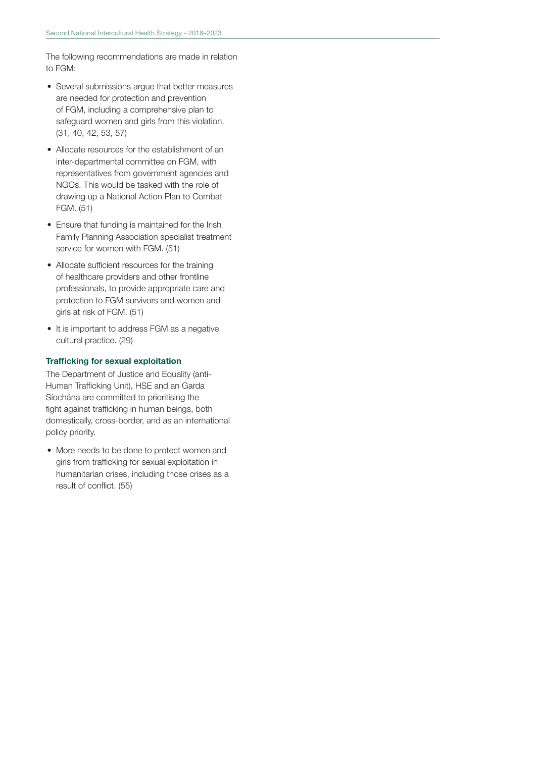The following recommendations are made in relation to FGM:

- Several submissions argue that better measures are needed for protection and prevention of FGM, including a comprehensive plan to safeguard women and girls from this violation. (31, 40, 42, 53, 57)
- Allocate resources for the establishment of an inter-departmental committee on FGM, with representatives from government agencies and NGOs. This would be tasked with the role of drawing up a National Action Plan to Combat FGM. (51)
- Ensure that funding is maintained for the Irish Family Planning Association specialist treatment service for women with FGM. (51)
- Allocate sufficient resources for the training of healthcare providers and other frontline professionals, to provide appropriate care and protection to FGM survivors and women and girls at risk of FGM. (51)
- It is important to address FGM as a negative cultural practice. (29)

#### Trafficking for sexual exploitation

The Department of Justice and Equality (anti-Human Trafficking Unit), HSE and an Garda Síochána are committed to prioritising the fight against trafficking in human beings, both domestically, cross-border, and as an international policy priority.

• More needs to be done to protect women and girls from trafficking for sexual exploitation in humanitarian crises, including those crises as a result of conflict. (55)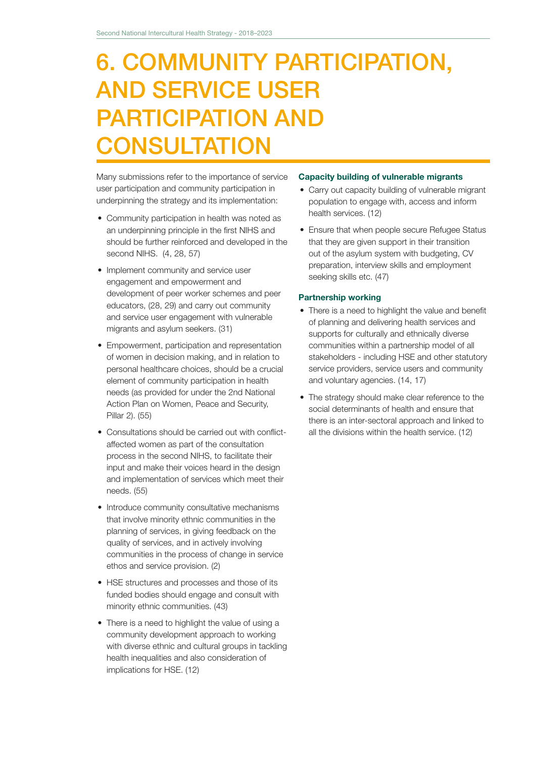# 6. COMMUNITY PARTICIPATION, AND SERVICE USER PARTICIPATION AND **CONSULTATION**

Many submissions refer to the importance of service user participation and community participation in underpinning the strategy and its implementation:

- Community participation in health was noted as an underpinning principle in the first NIHS and should be further reinforced and developed in the second NIHS. (4, 28, 57)
- Implement community and service user engagement and empowerment and development of peer worker schemes and peer educators, (28, 29) and carry out community and service user engagement with vulnerable migrants and asylum seekers. (31)
- Empowerment, participation and representation of women in decision making, and in relation to personal healthcare choices, should be a crucial element of community participation in health needs (as provided for under the 2nd National Action Plan on Women, Peace and Security, Pillar 2). (55)
- Consultations should be carried out with conflictaffected women as part of the consultation process in the second NIHS, to facilitate their input and make their voices heard in the design and implementation of services which meet their needs. (55)
- Introduce community consultative mechanisms that involve minority ethnic communities in the planning of services, in giving feedback on the quality of services, and in actively involving communities in the process of change in service ethos and service provision. (2)
- HSE structures and processes and those of its funded bodies should engage and consult with minority ethnic communities. (43)
- There is a need to highlight the value of using a community development approach to working with diverse ethnic and cultural groups in tackling health inequalities and also consideration of implications for HSE. (12)

#### Capacity building of vulnerable migrants

- Carry out capacity building of vulnerable migrant population to engage with, access and inform health services. (12)
- Ensure that when people secure Refugee Status that they are given support in their transition out of the asylum system with budgeting, CV preparation, interview skills and employment seeking skills etc. (47)

#### Partnership working

- There is a need to highlight the value and benefit of planning and delivering health services and supports for culturally and ethnically diverse communities within a partnership model of all stakeholders - including HSE and other statutory service providers, service users and community and voluntary agencies. (14, 17)
- The strategy should make clear reference to the social determinants of health and ensure that there is an inter-sectoral approach and linked to all the divisions within the health service. (12)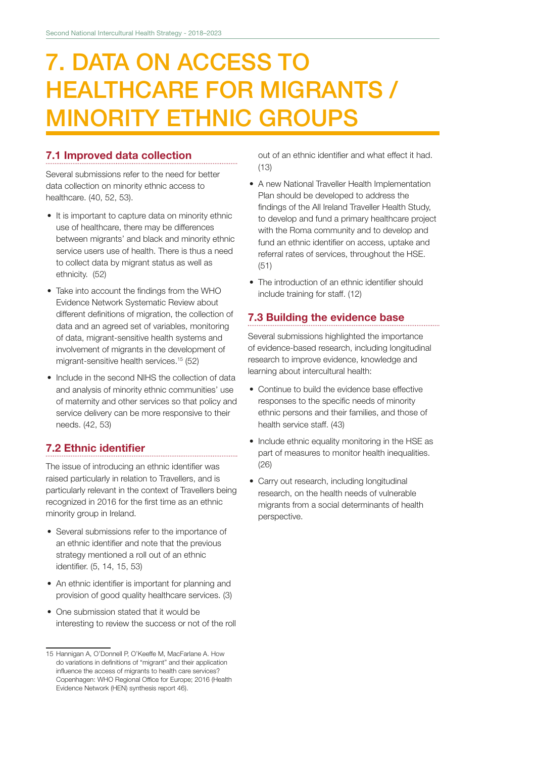# 7. DATA ON ACCESS TO HEALTHCARE FOR MIGRANTS / MINORITY ETHNIC GROUPS

### 7.1 Improved data collection

Several submissions refer to the need for better data collection on minority ethnic access to healthcare. (40, 52, 53).

- It is important to capture data on minority ethnic use of healthcare, there may be differences between migrants' and black and minority ethnic service users use of health. There is thus a need to collect data by migrant status as well as ethnicity. (52)
- Take into account the findings from the WHO Evidence Network Systematic Review about different definitions of migration, the collection of data and an agreed set of variables, monitoring of data, migrant-sensitive health systems and involvement of migrants in the development of migrant-sensitive health services.15 (52)
- Include in the second NIHS the collection of data and analysis of minority ethnic communities' use of maternity and other services so that policy and service delivery can be more responsive to their needs. (42, 53)

### 7.2 Ethnic identifier

The issue of introducing an ethnic identifier was raised particularly in relation to Travellers, and is particularly relevant in the context of Travellers being recognized in 2016 for the first time as an ethnic minority group in Ireland.

- Several submissions refer to the importance of an ethnic identifier and note that the previous strategy mentioned a roll out of an ethnic identifier. (5, 14, 15, 53)
- An ethnic identifier is important for planning and provision of good quality healthcare services. (3)
- One submission stated that it would be interesting to review the success or not of the roll

out of an ethnic identifier and what effect it had. (13)

- A new National Traveller Health Implementation Plan should be developed to address the findings of the All Ireland Traveller Health Study, to develop and fund a primary healthcare project with the Roma community and to develop and fund an ethnic identifier on access, uptake and referral rates of services, throughout the HSE. (51)
- The introduction of an ethnic identifier should include training for staff. (12)

# 7.3 Building the evidence base

Several submissions highlighted the importance of evidence-based research, including longitudinal research to improve evidence, knowledge and learning about intercultural health:

- Continue to build the evidence base effective responses to the specific needs of minority ethnic persons and their families, and those of health service staff. (43)
- Include ethnic equality monitoring in the HSE as part of measures to monitor health inequalities. (26)
- Carry out research, including longitudinal research, on the health needs of vulnerable migrants from a social determinants of health perspective.

<sup>15</sup> Hannigan A, O'Donnell P, O'Keeffe M, MacFarlane A. How do variations in definitions of "migrant" and their application influence the access of migrants to health care services? Copenhagen: WHO Regional Office for Europe; 2016 (Health Evidence Network (HEN) synthesis report 46).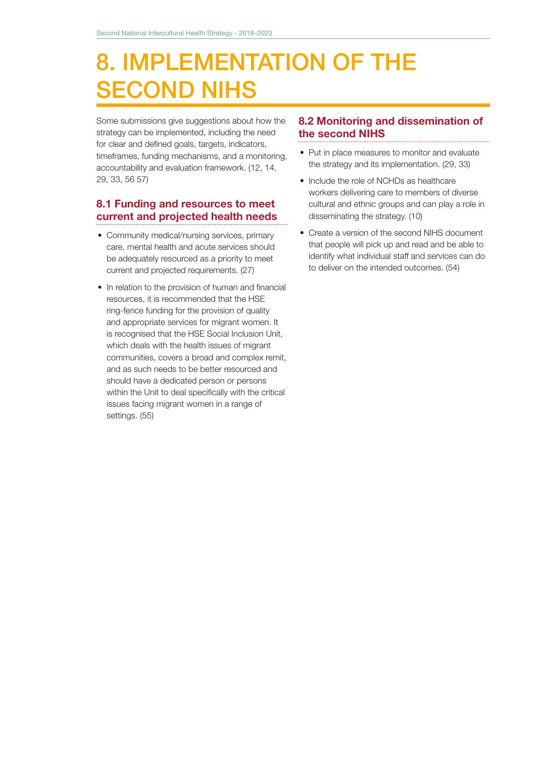# 8. IMPLEMENTATION OF THE SECOND NIHS

Some submissions give suggestions about how the strategy can be implemented, including the need for clear and defined goals, targets, indicators, timeframes, funding mechanisms, and a monitoring, accountability and evaluation framework. (12, 14, 29, 33, 56 57)

# 8.1 Funding and resources to meet current and projected health needs

- Community medical/nursing services, primary care, mental health and acute services should be adequately resourced as a priority to meet current and projected requirements. (27)
- In relation to the provision of human and financial resources, it is recommended that the HSE ring-fence funding for the provision of quality and appropriate services for migrant women. It is recognised that the HSE Social Inclusion Unit, which deals with the health issues of migrant communities, covers a broad and complex remit, and as such needs to be better resourced and should have a dedicated person or persons within the Unit to deal specifically with the critical issues facing migrant women in a range of settings. (55)

### 8.2 Monitoring and dissemination of the second NIHS

- Put in place measures to monitor and evaluate the strategy and its implementation. (29, 33)
- Include the role of NCHDs as healthcare workers delivering care to members of diverse cultural and ethnic groups and can play a role in disseminating the strategy. (10)
- Create a version of the second NIHS document that people will pick up and read and be able to identify what individual staff and services can do to deliver on the intended outcomes. (54)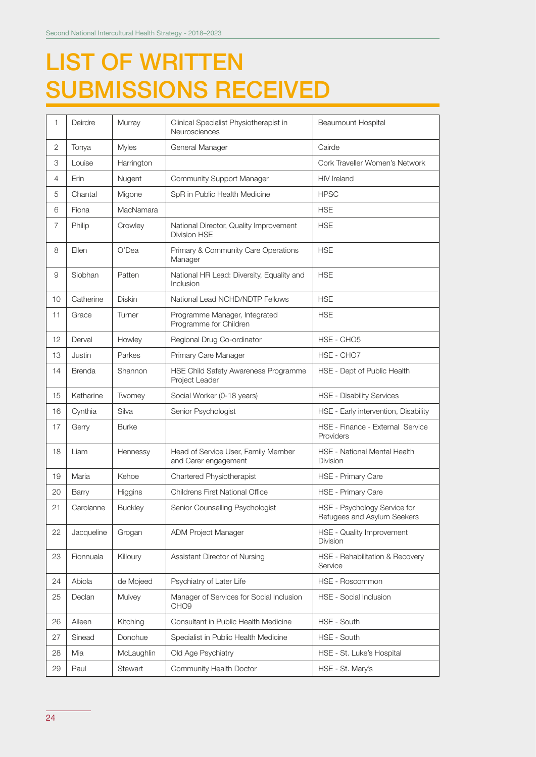# LIST OF WRITTEN SUBMISSIONS RECEIVED

| Deirdre       | Murray           | Clinical Specialist Physiotherapist in<br>Neurosciences       | Beaumount Hospital                                          |
|---------------|------------------|---------------------------------------------------------------|-------------------------------------------------------------|
| Tonya         | <b>Myles</b>     | General Manager                                               | Cairde                                                      |
| Louise        | Harrington       |                                                               | Cork Traveller Women's Network                              |
| Erin          | Nugent           | <b>Community Support Manager</b>                              | <b>HIV</b> Ireland                                          |
| Chantal       | Migone           | SpR in Public Health Medicine                                 | <b>HPSC</b>                                                 |
| Fiona         | <b>MacNamara</b> |                                                               | <b>HSE</b>                                                  |
| Philip        | Crowley          | National Director, Quality Improvement<br><b>Division HSE</b> | <b>HSE</b>                                                  |
| Ellen         | O'Dea            | Primary & Community Care Operations<br>Manager                | <b>HSE</b>                                                  |
| Siobhan       | Patten           | National HR Lead: Diversity, Equality and<br>Inclusion        | <b>HSE</b>                                                  |
| Catherine     | <b>Diskin</b>    | National Lead NCHD/NDTP Fellows                               | <b>HSE</b>                                                  |
| Grace         | Turner           | Programme Manager, Integrated<br>Programme for Children       | <b>HSE</b>                                                  |
| Derval        | Howley           | Regional Drug Co-ordinator                                    | HSE - CHO5                                                  |
| Justin        | Parkes           | Primary Care Manager                                          | HSE - CHO7                                                  |
| <b>Brenda</b> | Shannon          | HSE Child Safety Awareness Programme<br>Project Leader        | HSE - Dept of Public Health                                 |
| Katharine     | Twomey           | Social Worker (0-18 years)                                    | <b>HSE - Disability Services</b>                            |
| Cynthia       | Silva            | Senior Psychologist                                           | HSE - Early intervention, Disability                        |
| Gerry         | <b>Burke</b>     |                                                               | HSE - Finance - External Service<br>Providers               |
| Liam          | Hennessy         | Head of Service User, Family Member<br>and Carer engagement   | HSE - National Mental Health<br><b>Division</b>             |
| Maria         | Kehoe            | Chartered Physiotherapist                                     | HSE - Primary Care                                          |
| Barry         | Higgins          | <b>Childrens First National Office</b>                        | HSE - Primary Care                                          |
| Carolanne     | <b>Buckley</b>   | Senior Counselling Psychologist                               | HSE - Psychology Service for<br>Refugees and Asylum Seekers |
| Jacqueline    | Grogan           | ADM Project Manager                                           | HSE - Quality Improvement<br><b>Division</b>                |
| Fionnuala     | Killoury         | Assistant Director of Nursing                                 | HSE - Rehabilitation & Recovery<br>Service                  |
| Abiola        | de Mojeed        | Psychiatry of Later Life                                      | HSE - Roscommon                                             |
| Declan        | Mulvey           | Manager of Services for Social Inclusion<br>CHO <sub>9</sub>  | HSE - Social Inclusion                                      |
| Aileen        | Kitching         | Consultant in Public Health Medicine                          | HSE - South                                                 |
| Sinead        | Donohue          | Specialist in Public Health Medicine                          | HSE - South                                                 |
| Mia           | McLaughlin       | Old Age Psychiatry                                            | HSE - St. Luke's Hospital                                   |
| Paul          | Stewart          | Community Health Doctor                                       | HSE - St. Mary's                                            |
|               |                  |                                                               |                                                             |